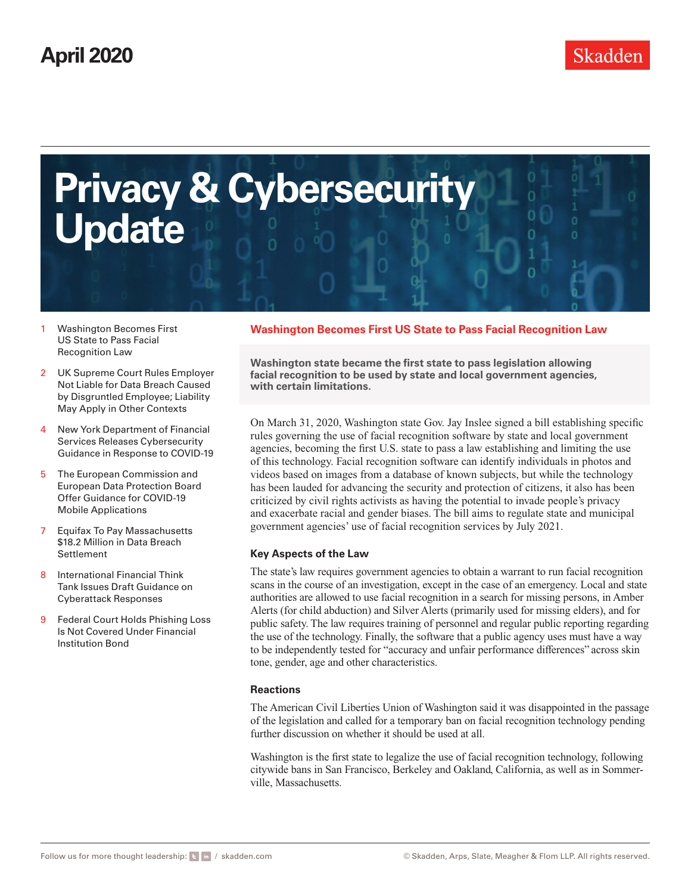<span id="page-0-0"></span>

- 1 Washington Becomes First US State to Pass Facial Recognition Law
- 2 [UK Supreme Court Rules Employer](#page-1-0) [Not Liable for Data Breach Caused](#page-1-0)  [by Disgruntled Employee; Liability](#page-1-0)  [May Apply in Other Contexts](#page-1-0)
- 4 [New York Department of Financial](#page-3-0)  [Services Releases Cybersecurity](#page-3-0)  [Guidance in Response to COVID-19](#page-3-0)
- 5 [The European Commission and](#page-4-0)  [European Data Protection Board](#page-4-0)  [Offer Guidance for COVID-19](#page-4-0)  [Mobile Applications](#page-4-0)
- 7 [Equifax To Pay Massachusetts](#page-6-0)  [\\$18.2 Million in Data Breach](#page-6-0)  [Settlement](#page-6-0)
- 8 [International Financial Think](#page-7-0)  [Tank Issues Draft Guidance on](#page-7-0)  [Cyberattack Responses](#page-7-0)
- 9 [Federal Court Holds Phishing Loss](#page-8-0)  [Is Not Covered Under Financial](#page-8-0)  [Institution Bond](#page-8-0)

## **Washington Becomes First US State to Pass Facial Recognition Law**

**Washington state became the first state to pass legislation allowing facial recognition to be used by state and local government agencies, with certain limitations.**

On March 31, 2020, Washington state Gov. Jay Inslee signed a bill establishing specific rules governing the use of facial recognition software by state and local government agencies, becoming the first U.S. state to pass a law establishing and limiting the use of this technology. Facial recognition software can identify individuals in photos and videos based on images from a database of known subjects, but while the technology has been lauded for advancing the security and protection of citizens, it also has been criticized by civil rights activists as having the potential to invade people's privacy and exacerbate racial and gender biases. The bill aims to regulate state and municipal government agencies' use of facial recognition services by July 2021.

## **Key Aspects of the Law**

The state's law requires government agencies to obtain a warrant to run facial recognition scans in the course of an investigation, except in the case of an emergency. Local and state authorities are allowed to use facial recognition in a search for missing persons, in Amber Alerts (for child abduction) and Silver Alerts (primarily used for missing elders), and for public safety. The law requires training of personnel and regular public reporting regarding the use of the technology. Finally, the software that a public agency uses must have a way to be independently tested for "accuracy and unfair performance differences" across skin tone, gender, age and other characteristics.

## **Reactions**

The American Civil Liberties Union of Washington said it was disappointed in the passage of the legislation and called for a temporary ban on facial recognition technology pending further discussion on whether it should be used at all.

Washington is the first state to legalize the use of facial recognition technology, following citywide bans in San Francisco, Berkeley and Oakland, California, as well as in Sommerville, Massachusetts.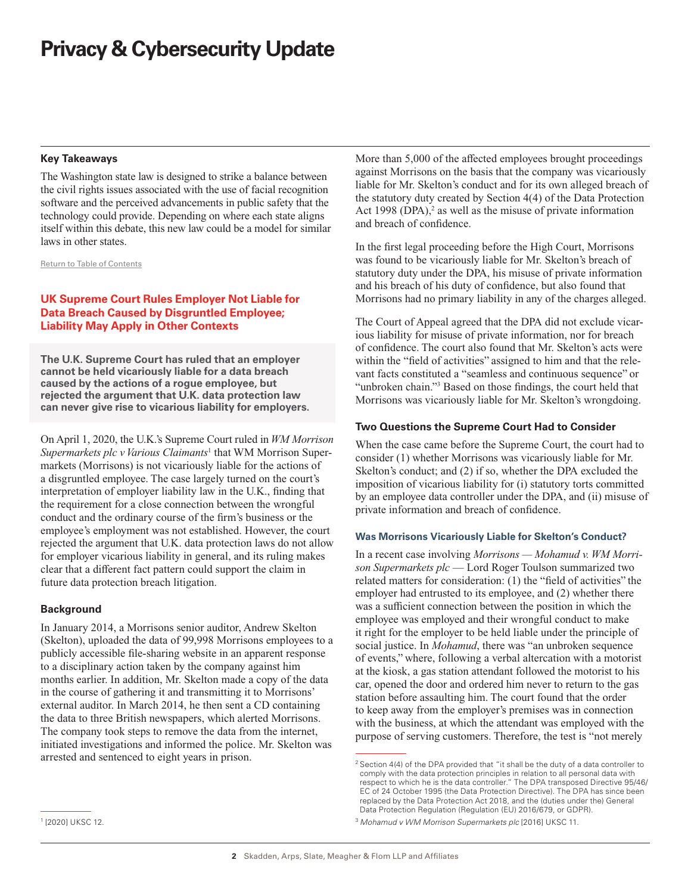## <span id="page-1-0"></span>**Key Takeaways**

The Washington state law is designed to strike a balance between the civil rights issues associated with the use of facial recognition software and the perceived advancements in public safety that the technology could provide. Depending on where each state aligns itself within this debate, this new law could be a model for similar laws in other states.

[Return to Table of Contents](#page-0-0)

## **UK Supreme Court Rules Employer Not Liable for Data Breach Caused by Disgruntled Employee; Liability May Apply in Other Contexts**

**The U.K. Supreme Court has ruled that an employer cannot be held vicariously liable for a data breach caused by the actions of a rogue employee, but rejected the argument that U.K. data protection law can never give rise to vicarious liability for employers.** 

On April 1, 2020, the U.K.'s Supreme Court ruled in *WM Morrison Supermarkets plc v Various Claimants*<sup>1</sup> that WM Morrison Supermarkets (Morrisons) is not vicariously liable for the actions of a disgruntled employee. The case largely turned on the court's interpretation of employer liability law in the U.K., finding that the requirement for a close connection between the wrongful conduct and the ordinary course of the firm's business or the employee's employment was not established. However, the court rejected the argument that U.K. data protection laws do not allow for employer vicarious liability in general, and its ruling makes clear that a different fact pattern could support the claim in future data protection breach litigation.

## **Background**

In January 2014, a Morrisons senior auditor, Andrew Skelton (Skelton), uploaded the data of 99,998 Morrisons employees to a publicly accessible file-sharing website in an apparent response to a disciplinary action taken by the company against him months earlier. In addition, Mr. Skelton made a copy of the data in the course of gathering it and transmitting it to Morrisons' external auditor. In March 2014, he then sent a CD containing the data to three British newspapers, which alerted Morrisons. The company took steps to remove the data from the internet, initiated investigations and informed the police. Mr. Skelton was arrested and sentenced to eight years in prison.

More than 5,000 of the affected employees brought proceedings against Morrisons on the basis that the company was vicariously liable for Mr. Skelton's conduct and for its own alleged breach of the statutory duty created by Section 4(4) of the Data Protection Act 1998 (DPA), $2$  as well as the misuse of private information and breach of confidence.

In the first legal proceeding before the High Court, Morrisons was found to be vicariously liable for Mr. Skelton's breach of statutory duty under the DPA, his misuse of private information and his breach of his duty of confidence, but also found that Morrisons had no primary liability in any of the charges alleged.

The Court of Appeal agreed that the DPA did not exclude vicarious liability for misuse of private information, nor for breach of confidence. The court also found that Mr. Skelton's acts were within the "field of activities" assigned to him and that the relevant facts constituted a "seamless and continuous sequence" or "unbroken chain."<sup>3</sup> Based on those findings, the court held that Morrisons was vicariously liable for Mr. Skelton's wrongdoing.

## **Two Questions the Supreme Court Had to Consider**

When the case came before the Supreme Court, the court had to consider (1) whether Morrisons was vicariously liable for Mr. Skelton's conduct; and (2) if so, whether the DPA excluded the imposition of vicarious liability for (i) statutory torts committed by an employee data controller under the DPA, and (ii) misuse of private information and breach of confidence.

## **Was Morrisons Vicariously Liable for Skelton's Conduct?**

In a recent case involving *Morrisons — Mohamud v. WM Morrison Supermarkets plc* — Lord Roger Toulson summarized two related matters for consideration: (1) the "field of activities" the employer had entrusted to its employee, and (2) whether there was a sufficient connection between the position in which the employee was employed and their wrongful conduct to make it right for the employer to be held liable under the principle of social justice. In *Mohamud*, there was "an unbroken sequence of events," where, following a verbal altercation with a motorist at the kiosk, a gas station attendant followed the motorist to his car, opened the door and ordered him never to return to the gas station before assaulting him. The court found that the order to keep away from the employer's premises was in connection with the business, at which the attendant was employed with the purpose of serving customers. Therefore, the test is "not merely

<sup>&</sup>lt;sup>2</sup> Section 4(4) of the DPA provided that "it shall be the duty of a data controller to comply with the data protection principles in relation to all personal data with respect to which he is the data controller." The DPA transposed Directive 95/46/ EC of 24 October 1995 (the Data Protection Directive). The DPA has since been replaced by the Data Protection Act 2018, and the (duties under the) General Data Protection Regulation (Regulation (EU) 2016/679, or GDPR).

<sup>3</sup> *Mohamud v WM Morrison Supermarkets plc* [2016] UKSC 11.

<sup>1</sup> [2020] UKSC 12.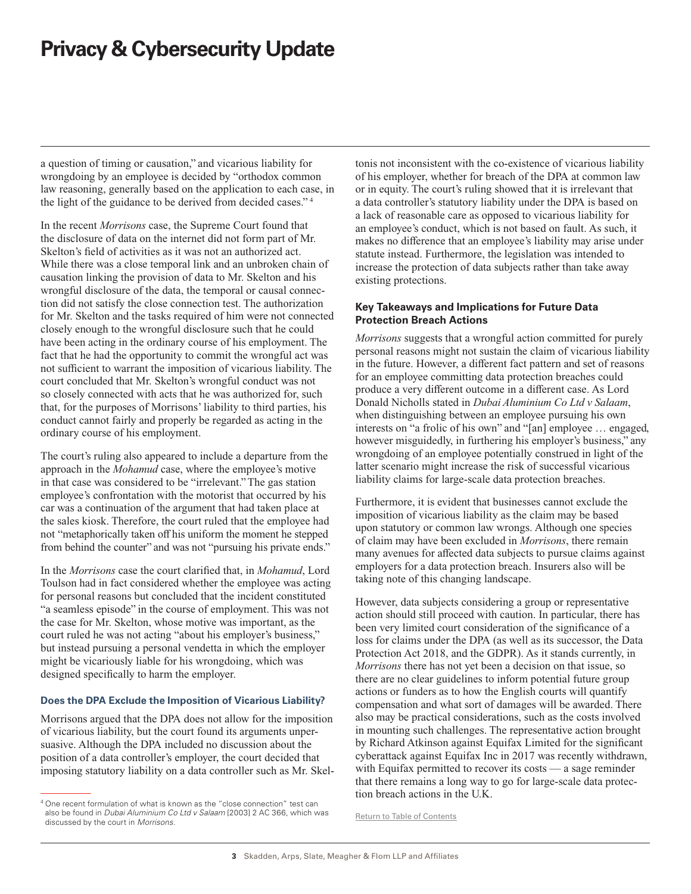a question of timing or causation," and vicarious liability for wrongdoing by an employee is decided by "orthodox common law reasoning, generally based on the application to each case, in the light of the guidance to be derived from decided cases." 4

In the recent *Morrisons* case, the Supreme Court found that the disclosure of data on the internet did not form part of Mr. Skelton's field of activities as it was not an authorized act. While there was a close temporal link and an unbroken chain of causation linking the provision of data to Mr. Skelton and his wrongful disclosure of the data, the temporal or causal connection did not satisfy the close connection test. The authorization for Mr. Skelton and the tasks required of him were not connected closely enough to the wrongful disclosure such that he could have been acting in the ordinary course of his employment. The fact that he had the opportunity to commit the wrongful act was not sufficient to warrant the imposition of vicarious liability. The court concluded that Mr. Skelton's wrongful conduct was not so closely connected with acts that he was authorized for, such that, for the purposes of Morrisons' liability to third parties, his conduct cannot fairly and properly be regarded as acting in the ordinary course of his employment.

The court's ruling also appeared to include a departure from the approach in the *Mohamud* case, where the employee's motive in that case was considered to be "irrelevant." The gas station employee's confrontation with the motorist that occurred by his car was a continuation of the argument that had taken place at the sales kiosk. Therefore, the court ruled that the employee had not "metaphorically taken off his uniform the moment he stepped from behind the counter" and was not "pursuing his private ends."

In the *Morrisons* case the court clarified that, in *Mohamud*, Lord Toulson had in fact considered whether the employee was acting for personal reasons but concluded that the incident constituted "a seamless episode" in the course of employment. This was not the case for Mr. Skelton, whose motive was important, as the court ruled he was not acting "about his employer's business," but instead pursuing a personal vendetta in which the employer might be vicariously liable for his wrongdoing, which was designed specifically to harm the employer.

### **Does the DPA Exclude the Imposition of Vicarious Liability?**

Morrisons argued that the DPA does not allow for the imposition of vicarious liability, but the court found its arguments unpersuasive. Although the DPA included no discussion about the position of a data controller's employer, the court decided that imposing statutory liability on a data controller such as Mr. Skeltonis not inconsistent with the co-existence of vicarious liability of his employer, whether for breach of the DPA at common law or in equity. The court's ruling showed that it is irrelevant that a data controller's statutory liability under the DPA is based on a lack of reasonable care as opposed to vicarious liability for an employee's conduct, which is not based on fault. As such, it makes no difference that an employee's liability may arise under statute instead. Furthermore, the legislation was intended to increase the protection of data subjects rather than take away existing protections.

## **Key Takeaways and Implications for Future Data Protection Breach Actions**

*Morrisons* suggests that a wrongful action committed for purely personal reasons might not sustain the claim of vicarious liability in the future. However, a different fact pattern and set of reasons for an employee committing data protection breaches could produce a very different outcome in a different case. As Lord Donald Nicholls stated in *Dubai Aluminium Co Ltd v Salaam*, when distinguishing between an employee pursuing his own interests on "a frolic of his own" and "[an] employee … engaged, however misguidedly, in furthering his employer's business," any wrongdoing of an employee potentially construed in light of the latter scenario might increase the risk of successful vicarious liability claims for large-scale data protection breaches.

Furthermore, it is evident that businesses cannot exclude the imposition of vicarious liability as the claim may be based upon statutory or common law wrongs. Although one species of claim may have been excluded in *Morrisons*, there remain many avenues for affected data subjects to pursue claims against employers for a data protection breach. Insurers also will be taking note of this changing landscape.

However, data subjects considering a group or representative action should still proceed with caution. In particular, there has been very limited court consideration of the significance of a loss for claims under the DPA (as well as its successor, the Data Protection Act 2018, and the GDPR). As it stands currently, in *Morrisons* there has not yet been a decision on that issue, so there are no clear guidelines to inform potential future group actions or funders as to how the English courts will quantify compensation and what sort of damages will be awarded. There also may be practical considerations, such as the costs involved in mounting such challenges. The representative action brought by Richard Atkinson against Equifax Limited for the significant cyberattack against Equifax Inc in 2017 was recently withdrawn, with Equifax permitted to recover its costs — a sage reminder that there remains a long way to go for large-scale data protection breach actions in the U.K.

[Return to Table of Contents](#page-0-0)

<sup>&</sup>lt;sup>4</sup> One recent formulation of what is known as the "close connection" test can also be found in *Dubai Aluminium Co Ltd v Salaam* [2003] 2 AC 366, which was discussed by the court in *Morrisons*.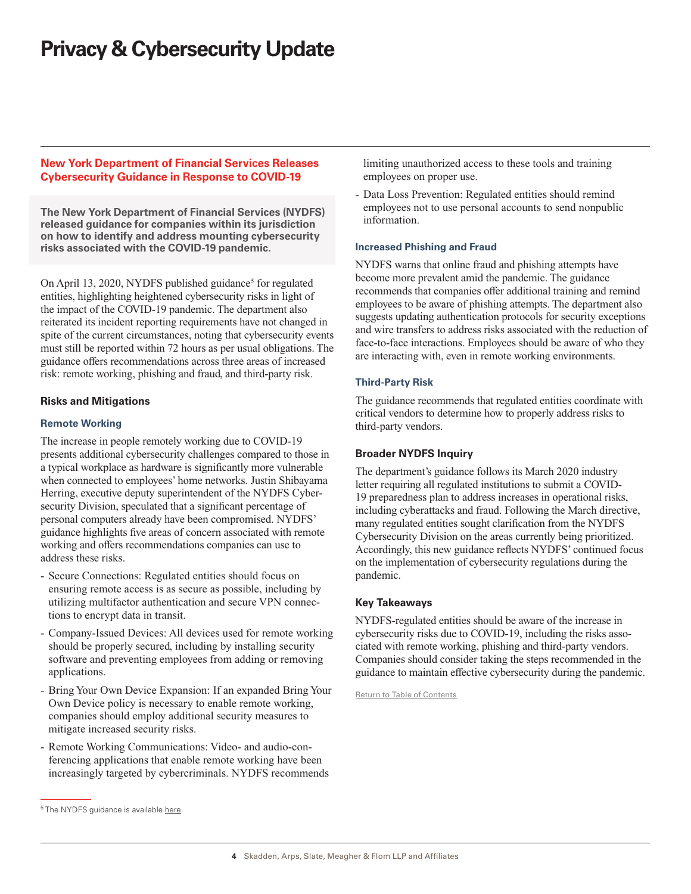## <span id="page-3-0"></span>**New York Department of Financial Services Releases Cybersecurity Guidance in Response to COVID-19**

**The New York Department of Financial Services (NYDFS) released guidance for companies within its jurisdiction on how to identify and address mounting cybersecurity risks associated with the COVID-19 pandemic.**

On April 13, 2020, NYDFS published guidance<sup>5</sup> for regulated entities, highlighting heightened cybersecurity risks in light of the impact of the COVID-19 pandemic. The department also reiterated its incident reporting requirements have not changed in spite of the current circumstances, noting that cybersecurity events must still be reported within 72 hours as per usual obligations. The guidance offers recommendations across three areas of increased risk: remote working, phishing and fraud, and third-party risk.

## **Risks and Mitigations**

## **Remote Working**

The increase in people remotely working due to COVID-19 presents additional cybersecurity challenges compared to those in a typical workplace as hardware is significantly more vulnerable when connected to employees' home networks. Justin Shibayama Herring, executive deputy superintendent of the NYDFS Cybersecurity Division, speculated that a significant percentage of personal computers already have been compromised. NYDFS' guidance highlights five areas of concern associated with remote working and offers recommendations companies can use to address these risks.

- Secure Connections: Regulated entities should focus on ensuring remote access is as secure as possible, including by utilizing multifactor authentication and secure VPN connections to encrypt data in transit.
- Company-Issued Devices: All devices used for remote working should be properly secured, including by installing security software and preventing employees from adding or removing applications.
- Bring Your Own Device Expansion: If an expanded Bring Your Own Device policy is necessary to enable remote working, companies should employ additional security measures to mitigate increased security risks.
- Remote Working Communications: Video- and audio-conferencing applications that enable remote working have been increasingly targeted by cybercriminals. NYDFS recommends

limiting unauthorized access to these tools and training employees on proper use.

- Data Loss Prevention: Regulated entities should remind employees not to use personal accounts to send nonpublic information.

#### **Increased Phishing and Fraud**

NYDFS warns that online fraud and phishing attempts have become more prevalent amid the pandemic. The guidance recommends that companies offer additional training and remind employees to be aware of phishing attempts. The department also suggests updating authentication protocols for security exceptions and wire transfers to address risks associated with the reduction of face-to-face interactions. Employees should be aware of who they are interacting with, even in remote working environments.

## **Third-Party Risk**

The guidance recommends that regulated entities coordinate with critical vendors to determine how to properly address risks to third-party vendors.

## **Broader NYDFS Inquiry**

The department's guidance follows its March 2020 industry letter requiring all regulated institutions to submit a COVID-19 preparedness plan to address increases in operational risks, including cyberattacks and fraud. Following the March directive, many regulated entities sought clarification from the NYDFS Cybersecurity Division on the areas currently being prioritized. Accordingly, this new guidance reflects NYDFS' continued focus on the implementation of cybersecurity regulations during the pandemic.

## **Key Takeaways**

NYDFS-regulated entities should be aware of the increase in cybersecurity risks due to COVID-19, including the risks associated with remote working, phishing and third-party vendors. Companies should consider taking the steps recommended in the guidance to maintain effective cybersecurity during the pandemic.

[Return to Table of Contents](#page-0-0)

<sup>&</sup>lt;sup>5</sup> [The NYDFS guidance is available here](https://www.dfs.ny.gov/industry_guidance/industry_letters/il20200413_covid19_cybersecurity_awareness).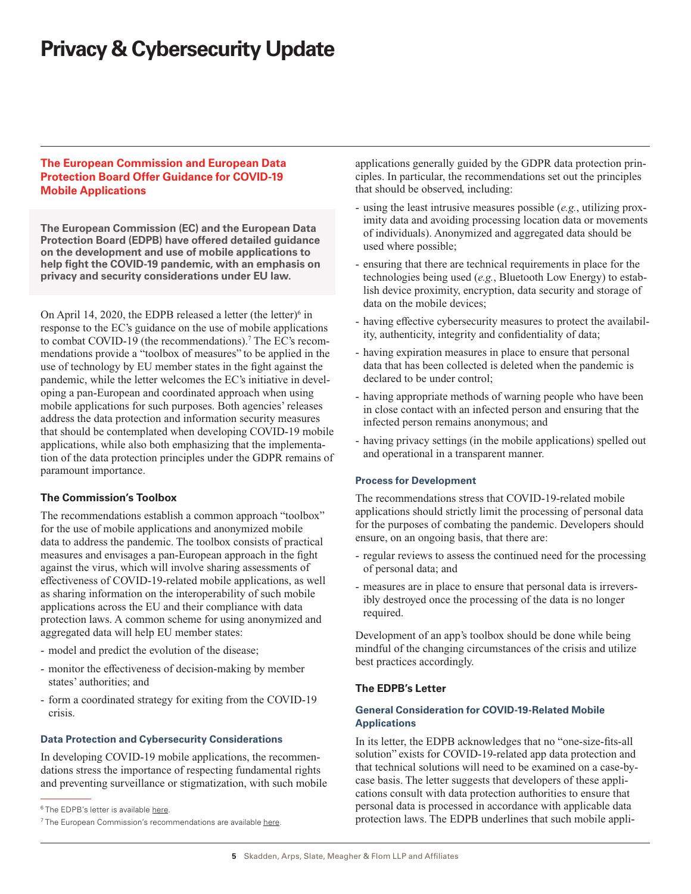## <span id="page-4-0"></span>**The European Commission and European Data Protection Board Offer Guidance for COVID-19 Mobile Applications**

**The European Commission (EC) and the European Data Protection Board (EDPB) have offered detailed guidance on the development and use of mobile applications to help fight the COVID-19 pandemic, with an emphasis on privacy and security considerations under EU law.** 

On April 14, 2020, the EDPB released a letter (the letter) $6$  in response to the EC's guidance on the use of mobile applications to combat COVID-19 (the recommendations).<sup>7</sup> The EC's recommendations provide a "toolbox of measures" to be applied in the use of technology by EU member states in the fight against the pandemic, while the letter welcomes the EC's initiative in developing a pan-European and coordinated approach when using mobile applications for such purposes. Both agencies' releases address the data protection and information security measures that should be contemplated when developing COVID-19 mobile applications, while also both emphasizing that the implementation of the data protection principles under the GDPR remains of paramount importance.

## **The Commission's Toolbox**

The recommendations establish a common approach "toolbox" for the use of mobile applications and anonymized mobile data to address the pandemic. The toolbox consists of practical measures and envisages a pan-European approach in the fight against the virus, which will involve sharing assessments of effectiveness of COVID-19-related mobile applications, as well as sharing information on the interoperability of such mobile applications across the EU and their compliance with data protection laws. A common scheme for using anonymized and aggregated data will help EU member states:

- model and predict the evolution of the disease;
- monitor the effectiveness of decision-making by member states' authorities; and
- form a coordinated strategy for exiting from the COVID-19 crisis.

#### **Data Protection and Cybersecurity Considerations**

In developing COVID-19 mobile applications, the recommendations stress the importance of respecting fundamental rights and preventing surveillance or stigmatization, with such mobile applications generally guided by the GDPR data protection principles. In particular, the recommendations set out the principles that should be observed, including:

- using the least intrusive measures possible (*e.g.*, utilizing proximity data and avoiding processing location data or movements of individuals). Anonymized and aggregated data should be used where possible;
- ensuring that there are technical requirements in place for the technologies being used (*e.g.*, Bluetooth Low Energy) to establish device proximity, encryption, data security and storage of data on the mobile devices;
- having effective cybersecurity measures to protect the availability, authenticity, integrity and confidentiality of data;
- having expiration measures in place to ensure that personal data that has been collected is deleted when the pandemic is declared to be under control;
- having appropriate methods of warning people who have been in close contact with an infected person and ensuring that the infected person remains anonymous; and
- having privacy settings (in the mobile applications) spelled out and operational in a transparent manner.

#### **Process for Development**

The recommendations stress that COVID-19-related mobile applications should strictly limit the processing of personal data for the purposes of combating the pandemic. Developers should ensure, on an ongoing basis, that there are:

- regular reviews to assess the continued need for the processing of personal data; and
- measures are in place to ensure that personal data is irreversibly destroyed once the processing of the data is no longer required.

Development of an app's toolbox should be done while being mindful of the changing circumstances of the crisis and utilize best practices accordingly.

#### **The EDPB's Letter**

#### **General Consideration for COVID-19-Related Mobile Applications**

In its letter, the EDPB acknowledges that no "one-size-fits-all solution" exists for COVID-19-related app data protection and that technical solutions will need to be examined on a case-bycase basis. The letter suggests that developers of these applications consult with data protection authorities to ensure that personal data is processed in accordance with applicable data protection laws. The EDPB underlines that such mobile appli-

<sup>&</sup>lt;sup>6</sup> The EDPB's letter is available [here](http://skadden.com/-/media/files/publications/2020/04/privacy-and-cybersecurity-update/edpbletterecadvisecodivappguidance_final_ft6.pdf).

 $7$  The European Commission's recommendations are available [here.](http://skadden.com/-/media/files/publications/2020/04/privacy-and-cybersecurity-update/recommendation_on_apps_for_contact_tracing_4_ft7.pdf)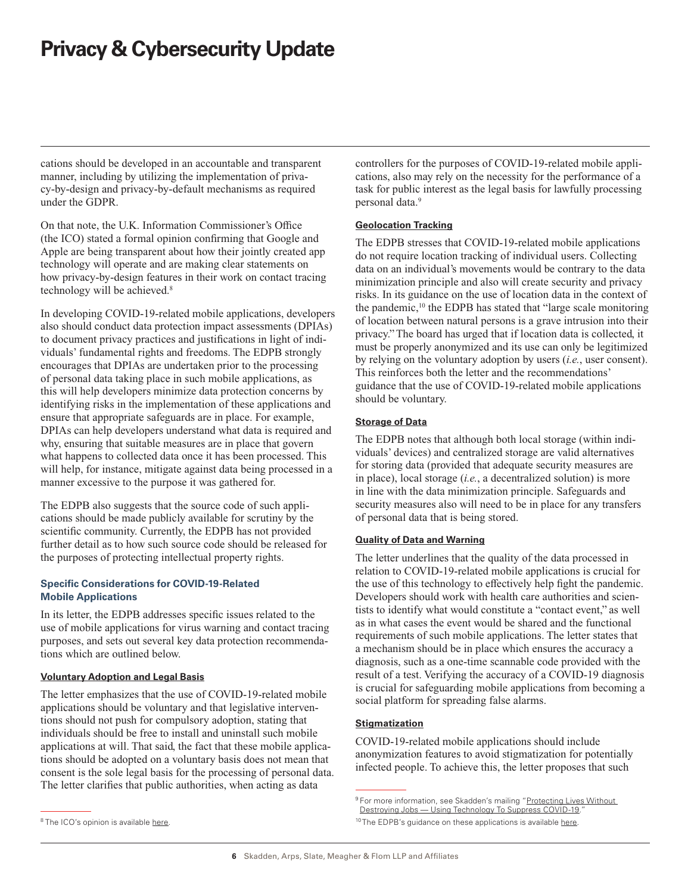cations should be developed in an accountable and transparent manner, including by utilizing the implementation of privacy-by-design and privacy-by-default mechanisms as required under the GDPR.

On that note, the U.K. Information Commissioner's Office (the ICO) stated a formal opinion confirming that Google and Apple are being transparent about how their jointly created app technology will operate and are making clear statements on how privacy-by-design features in their work on contact tracing technology will be achieved.<sup>8</sup>

In developing COVID-19-related mobile applications, developers also should conduct data protection impact assessments (DPIAs) to document privacy practices and justifications in light of individuals' fundamental rights and freedoms. The EDPB strongly encourages that DPIAs are undertaken prior to the processing of personal data taking place in such mobile applications, as this will help developers minimize data protection concerns by identifying risks in the implementation of these applications and ensure that appropriate safeguards are in place. For example, DPIAs can help developers understand what data is required and why, ensuring that suitable measures are in place that govern what happens to collected data once it has been processed. This will help, for instance, mitigate against data being processed in a manner excessive to the purpose it was gathered for.

The EDPB also suggests that the source code of such applications should be made publicly available for scrutiny by the scientific community. Currently, the EDPB has not provided further detail as to how such source code should be released for the purposes of protecting intellectual property rights.

## **Specific Considerations for COVID-19-Related Mobile Applications**

In its letter, the EDPB addresses specific issues related to the use of mobile applications for virus warning and contact tracing purposes, and sets out several key data protection recommendations which are outlined below.

#### **Voluntary Adoption and Legal Basis**

The letter emphasizes that the use of COVID-19-related mobile applications should be voluntary and that legislative interventions should not push for compulsory adoption, stating that individuals should be free to install and uninstall such mobile applications at will. That said, the fact that these mobile applications should be adopted on a voluntary basis does not mean that consent is the sole legal basis for the processing of personal data. The letter clarifies that public authorities, when acting as data

controllers for the purposes of COVID-19-related mobile applications, also may rely on the necessity for the performance of a task for public interest as the legal basis for lawfully processing personal data.9

## **Geolocation Tracking**

The EDPB stresses that COVID-19-related mobile applications do not require location tracking of individual users. Collecting data on an individual's movements would be contrary to the data minimization principle and also will create security and privacy risks. In its guidance on the use of location data in the context of the pandemic,<sup>10</sup> the EDPB has stated that "large scale monitoring of location between natural persons is a grave intrusion into their privacy." The board has urged that if location data is collected, it must be properly anonymized and its use can only be legitimized by relying on the voluntary adoption by users (*i.e.*, user consent). This reinforces both the letter and the recommendations' guidance that the use of COVID-19-related mobile applications should be voluntary.

#### **Storage of Data**

The EDPB notes that although both local storage (within individuals' devices) and centralized storage are valid alternatives for storing data (provided that adequate security measures are in place), local storage (*i.e.*, a decentralized solution) is more in line with the data minimization principle. Safeguards and security measures also will need to be in place for any transfers of personal data that is being stored.

#### **Quality of Data and Warning**

The letter underlines that the quality of the data processed in relation to COVID-19-related mobile applications is crucial for the use of this technology to effectively help fight the pandemic. Developers should work with health care authorities and scientists to identify what would constitute a "contact event," as well as in what cases the event would be shared and the functional requirements of such mobile applications. The letter states that a mechanism should be in place which ensures the accuracy a diagnosis, such as a one-time scannable code provided with the result of a test. Verifying the accuracy of a COVID-19 diagnosis is crucial for safeguarding mobile applications from becoming a social platform for spreading false alarms.

## **Stigmatization**

COVID-19-related mobile applications should include anonymization features to avoid stigmatization for potentially infected people. To achieve this, the letter proposes that such

<sup>&</sup>lt;sup>9</sup> For more information, see Skadden's mailing "Protecting Lives Without Destroying Jobs - Using Technology To Suppress COVID-19.

<sup>&</sup>lt;sup>10</sup> The EDPB's guidance on these applications is available [here](http://skadden.com/-/media/files/publications/2020/04/privacy-and-cybersecurity-update/edpbguidelines20200420contacttracingcovidwithannex.pdf).

<sup>&</sup>lt;sup>8</sup> The ICO's opinion is available [here](http://skadden.com/-/media/files/publications/2020/04/privacy-and-cybersecurity-update/applegoogleapiopinionfinalapril2020_ft8.pdf).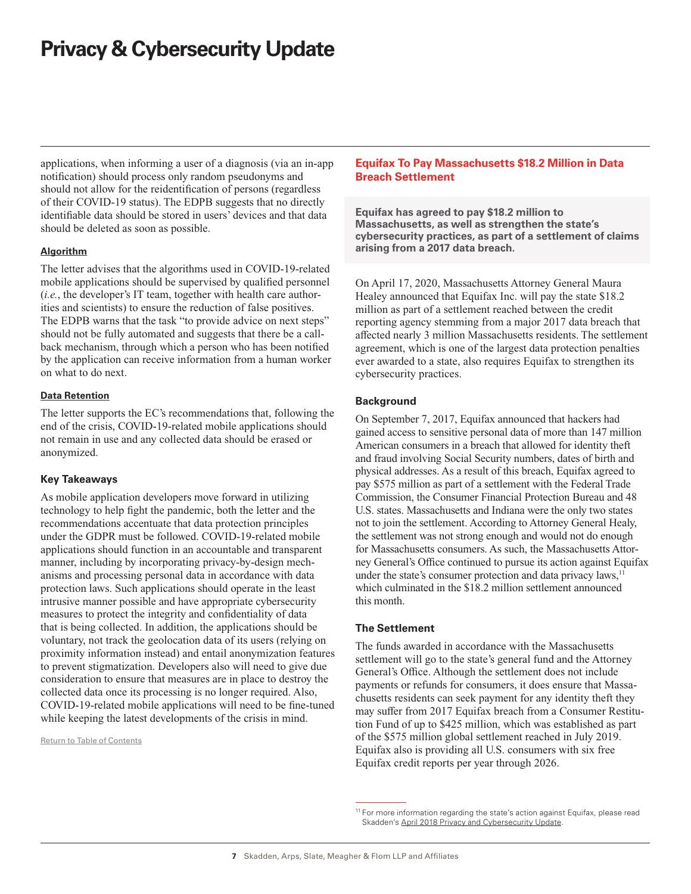<span id="page-6-0"></span>applications, when informing a user of a diagnosis (via an in-app notification) should process only random pseudonyms and should not allow for the reidentification of persons (regardless of their COVID-19 status). The EDPB suggests that no directly identifiable data should be stored in users' devices and that data should be deleted as soon as possible.

## **Algorithm**

The letter advises that the algorithms used in COVID-19-related mobile applications should be supervised by qualified personnel (*i.e.*, the developer's IT team, together with health care authorities and scientists) to ensure the reduction of false positives. The EDPB warns that the task "to provide advice on next steps" should not be fully automated and suggests that there be a callback mechanism, through which a person who has been notified by the application can receive information from a human worker on what to do next.

#### **Data Retention**

The letter supports the EC's recommendations that, following the end of the crisis, COVID-19-related mobile applications should not remain in use and any collected data should be erased or anonymized.

## **Key Takeaways**

As mobile application developers move forward in utilizing technology to help fight the pandemic, both the letter and the recommendations accentuate that data protection principles under the GDPR must be followed. COVID-19-related mobile applications should function in an accountable and transparent manner, including by incorporating privacy-by-design mechanisms and processing personal data in accordance with data protection laws. Such applications should operate in the least intrusive manner possible and have appropriate cybersecurity measures to protect the integrity and confidentiality of data that is being collected. In addition, the applications should be voluntary, not track the geolocation data of its users (relying on proximity information instead) and entail anonymization features to prevent stigmatization. Developers also will need to give due consideration to ensure that measures are in place to destroy the collected data once its processing is no longer required. Also, COVID-19-related mobile applications will need to be fine-tuned while keeping the latest developments of the crisis in mind.

[Return to Table of Contents](#page-0-0)

## **Equifax To Pay Massachusetts \$18.2 Million in Data Breach Settlement**

**Equifax has agreed to pay \$18.2 million to Massachusetts, as well as strengthen the state's cybersecurity practices, as part of a settlement of claims arising from a 2017 data breach.**

On April 17, 2020, Massachusetts Attorney General Maura Healey announced that Equifax Inc. will pay the state \$18.2 million as part of a settlement reached between the credit reporting agency stemming from a major 2017 data breach that affected nearly 3 million Massachusetts residents. The settlement agreement, which is one of the largest data protection penalties ever awarded to a state, also requires Equifax to strengthen its cybersecurity practices.

## **Background**

On September 7, 2017, Equifax announced that hackers had gained access to sensitive personal data of more than 147 million American consumers in a breach that allowed for identity theft and fraud involving Social Security numbers, dates of birth and physical addresses. As a result of this breach, Equifax agreed to pay \$575 million as part of a settlement with the Federal Trade Commission, the Consumer Financial Protection Bureau and 48 U.S. states. Massachusetts and Indiana were the only two states not to join the settlement. According to Attorney General Healy, the settlement was not strong enough and would not do enough for Massachusetts consumers. As such, the Massachusetts Attorney General's Office continued to pursue its action against Equifax under the state's consumer protection and data privacy laws, $11$ which culminated in the \$18.2 million settlement announced this month.

#### **The Settlement**

The funds awarded in accordance with the Massachusetts settlement will go to the state's general fund and the Attorney General's Office. Although the settlement does not include payments or refunds for consumers, it does ensure that Massachusetts residents can seek payment for any identity theft they may suffer from 2017 Equifax breach from a Consumer Restitution Fund of up to \$425 million, which was established as part of the \$575 million global settlement reached in July 2019. Equifax also is providing all U.S. consumers with six free Equifax credit reports per year through 2026.

<sup>&</sup>lt;sup>11</sup> For more information regarding the state's action against Equifax, please read Skadden's [April 2018 Privacy and Cybersecurity Update.](https://www.skadden.com/insights/publications/2018/04/privacy-cybersecurity-update-april#state)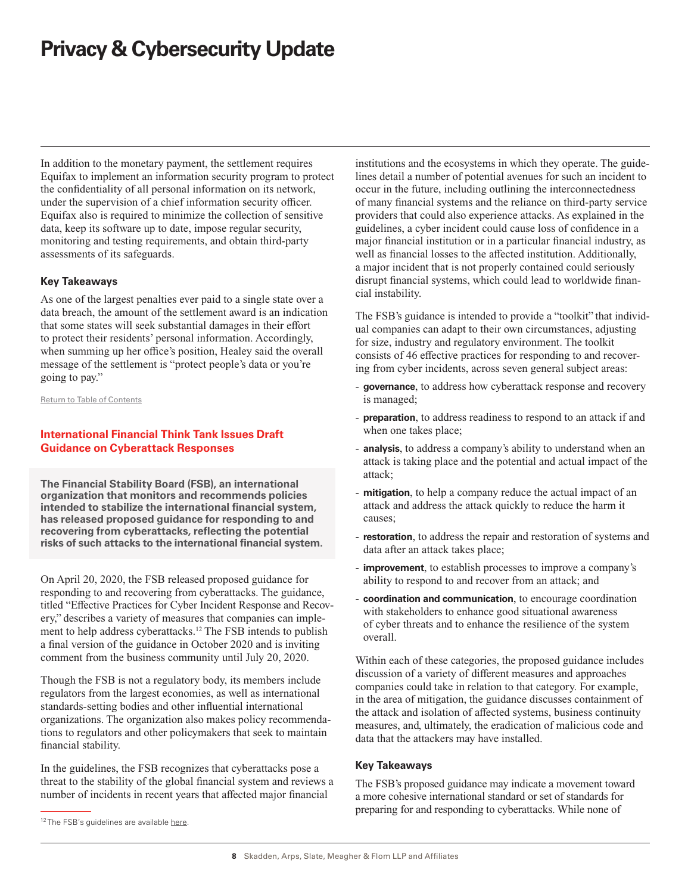<span id="page-7-0"></span>In addition to the monetary payment, the settlement requires Equifax to implement an information security program to protect the confidentiality of all personal information on its network, under the supervision of a chief information security officer. Equifax also is required to minimize the collection of sensitive data, keep its software up to date, impose regular security, monitoring and testing requirements, and obtain third-party assessments of its safeguards.

#### **Key Takeaways**

As one of the largest penalties ever paid to a single state over a data breach, the amount of the settlement award is an indication that some states will seek substantial damages in their effort to protect their residents' personal information. Accordingly, when summing up her office's position, Healey said the overall message of the settlement is "protect people's data or you're going to pay."

[Return to Table of Contents](#page-0-0)

## **International Financial Think Tank Issues Draft Guidance on Cyberattack Responses**

**The Financial Stability Board (FSB), an international organization that monitors and recommends policies intended to stabilize the international financial system, has released proposed guidance for responding to and recovering from cyberattacks, reflecting the potential risks of such attacks to the international financial system.**

On April 20, 2020, the FSB released proposed guidance for responding to and recovering from cyberattacks. The guidance, titled "Effective Practices for Cyber Incident Response and Recovery," describes a variety of measures that companies can implement to help address cyberattacks.<sup>12</sup> The FSB intends to publish a final version of the guidance in October 2020 and is inviting comment from the business community until July 20, 2020.

Though the FSB is not a regulatory body, its members include regulators from the largest economies, as well as international standards-setting bodies and other influential international organizations. The organization also makes policy recommendations to regulators and other policymakers that seek to maintain financial stability.

In the guidelines, the FSB recognizes that cyberattacks pose a threat to the stability of the global financial system and reviews a number of incidents in recent years that affected major financial

institutions and the ecosystems in which they operate. The guidelines detail a number of potential avenues for such an incident to occur in the future, including outlining the interconnectedness of many financial systems and the reliance on third-party service providers that could also experience attacks. As explained in the guidelines, a cyber incident could cause loss of confidence in a major financial institution or in a particular financial industry, as well as financial losses to the affected institution. Additionally, a major incident that is not properly contained could seriously disrupt financial systems, which could lead to worldwide financial instability.

The FSB's guidance is intended to provide a "toolkit" that individual companies can adapt to their own circumstances, adjusting for size, industry and regulatory environment. The toolkit consists of 46 effective practices for responding to and recovering from cyber incidents, across seven general subject areas:

- **governance**, to address how cyberattack response and recovery is managed;
- **preparation**, to address readiness to respond to an attack if and when one takes place;
- **analysis**, to address a company's ability to understand when an attack is taking place and the potential and actual impact of the attack;
- **mitigation**, to help a company reduce the actual impact of an attack and address the attack quickly to reduce the harm it causes;
- restoration, to address the repair and restoration of systems and data after an attack takes place;
- **improvement**, to establish processes to improve a company's ability to respond to and recover from an attack; and
- **coordination and communication**, to encourage coordination with stakeholders to enhance good situational awareness of cyber threats and to enhance the resilience of the system overall.

Within each of these categories, the proposed guidance includes discussion of a variety of different measures and approaches companies could take in relation to that category. For example, in the area of mitigation, the guidance discusses containment of the attack and isolation of affected systems, business continuity measures, and, ultimately, the eradication of malicious code and data that the attackers may have installed.

#### **Key Takeaways**

The FSB's proposed guidance may indicate a movement toward a more cohesive international standard or set of standards for preparing for and responding to cyberattacks. While none of

<sup>&</sup>lt;sup>12</sup> The FSB's quidelines are available [here.](https://www.fsb.org/2020/04/effective-practices-for-cyber-incident-response-and-recovery-consultative-document/)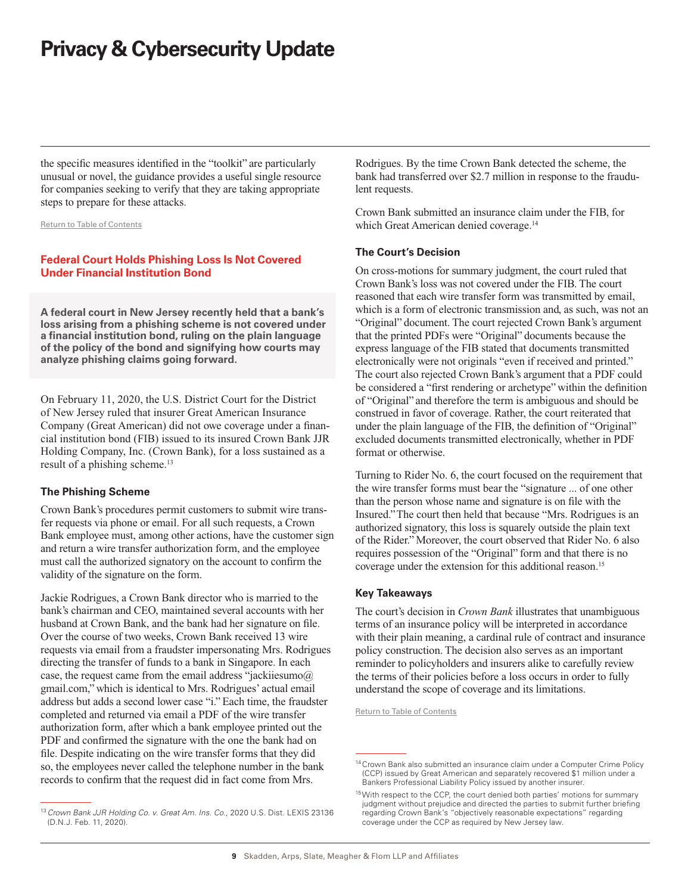<span id="page-8-0"></span>the specific measures identified in the "toolkit" are particularly unusual or novel, the guidance provides a useful single resource for companies seeking to verify that they are taking appropriate steps to prepare for these attacks.

#### [Return to Table of Contents](#page-0-0)

## **Federal Court Holds Phishing Loss Is Not Covered Under Financial Institution Bond**

**A federal court in New Jersey recently held that a bank's loss arising from a phishing scheme is not covered under a financial institution bond, ruling on the plain language of the policy of the bond and signifying how courts may analyze phishing claims going forward.**

On February 11, 2020, the U.S. District Court for the District of New Jersey ruled that insurer Great American Insurance Company (Great American) did not owe coverage under a financial institution bond (FIB) issued to its insured Crown Bank JJR Holding Company, Inc. (Crown Bank), for a loss sustained as a result of a phishing scheme.<sup>13</sup>

#### **The Phishing Scheme**

Crown Bank's procedures permit customers to submit wire transfer requests via phone or email. For all such requests, a Crown Bank employee must, among other actions, have the customer sign and return a wire transfer authorization form, and the employee must call the authorized signatory on the account to confirm the validity of the signature on the form.

Jackie Rodrigues, a Crown Bank director who is married to the bank's chairman and CEO, maintained several accounts with her husband at Crown Bank, and the bank had her signature on file. Over the course of two weeks, Crown Bank received 13 wire requests via email from a fraudster impersonating Mrs. Rodrigues directing the transfer of funds to a bank in Singapore. In each case, the request came from the email address "jackiiesumo $@$ gmail.com," which is identical to Mrs. Rodrigues' actual email address but adds a second lower case "i." Each time, the fraudster completed and returned via email a PDF of the wire transfer authorization form, after which a bank employee printed out the PDF and confirmed the signature with the one the bank had on file. Despite indicating on the wire transfer forms that they did so, the employees never called the telephone number in the bank records to confirm that the request did in fact come from Mrs.

Rodrigues. By the time Crown Bank detected the scheme, the bank had transferred over \$2.7 million in response to the fraudulent requests.

Crown Bank submitted an insurance claim under the FIB, for which Great American denied coverage.<sup>14</sup>

#### **The Court's Decision**

On cross-motions for summary judgment, the court ruled that Crown Bank's loss was not covered under the FIB. The court reasoned that each wire transfer form was transmitted by email, which is a form of electronic transmission and, as such, was not an "Original" document. The court rejected Crown Bank's argument that the printed PDFs were "Original" documents because the express language of the FIB stated that documents transmitted electronically were not originals "even if received and printed." The court also rejected Crown Bank's argument that a PDF could be considered a "first rendering or archetype" within the definition of "Original" and therefore the term is ambiguous and should be construed in favor of coverage. Rather, the court reiterated that under the plain language of the FIB, the definition of "Original" excluded documents transmitted electronically, whether in PDF format or otherwise.

Turning to Rider No. 6, the court focused on the requirement that the wire transfer forms must bear the "signature ... of one other than the person whose name and signature is on file with the Insured." The court then held that because "Mrs. Rodrigues is an authorized signatory, this loss is squarely outside the plain text of the Rider." Moreover, the court observed that Rider No. 6 also requires possession of the "Original" form and that there is no coverage under the extension for this additional reason.<sup>15</sup>

#### **Key Takeaways**

The court's decision in *Crown Bank* illustrates that unambiguous terms of an insurance policy will be interpreted in accordance with their plain meaning, a cardinal rule of contract and insurance policy construction. The decision also serves as an important reminder to policyholders and insurers alike to carefully review the terms of their policies before a loss occurs in order to fully understand the scope of coverage and its limitations.

[Return to Table of Contents](#page-0-0)

<sup>&</sup>lt;sup>14</sup> Crown Bank also submitted an insurance claim under a Computer Crime Policy (CCP) issued by Great American and separately recovered \$1 million under a Bankers Professional Liability Policy issued by another insurer.

<sup>&</sup>lt;sup>15</sup>With respect to the CCP, the court denied both parties' motions for summary judgment without prejudice and directed the parties to submit further briefing regarding Crown Bank's "objectively reasonable expectations" regarding coverage under the CCP as required by New Jersey law.

<sup>13</sup>*Crown Bank JJR Holding Co. v. Great Am. Ins. Co*., 2020 U.S. Dist. LEXIS 23136 (D.N.J. Feb. 11, 2020).